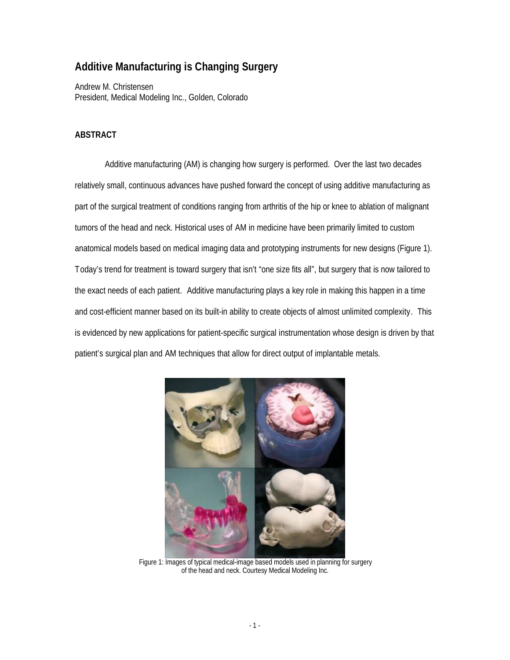# **Additive Manufacturing is Changing Surgery**

Andrew M. Christensen President, Medical Modeling Inc., Golden, Colorado

## **ABSTRACT**

Additive manufacturing (AM) is changing how surgery is performed. Over the last two decades relatively small, continuous advances have pushed forward the concept of using additive manufacturing as part of the surgical treatment of conditions ranging from arthritis of the hip or knee to ablation of malignant tumors of the head and neck. Historical uses of AM in medicine have been primarily limited to custom anatomical models based on medical imaging data and prototyping instruments for new designs (Figure 1). Today's trend for treatment is toward surgery that isn't "one size fits all", but surgery that is now tailored to the exact needs of each patient. Additive manufacturing plays a key role in making this happen in a time and cost-efficient manner based on its built-in ability to create objects of almost unlimited complexity. This is evidenced by new applications for patient-specific surgical instrumentation whose design is driven by that patient's surgical plan and AM techniques that allow for direct output of implantable metals.



Figure 1: Images of typical medical-image based models used in planning for surgery of the head and neck. Courtesy Medical Modeling Inc.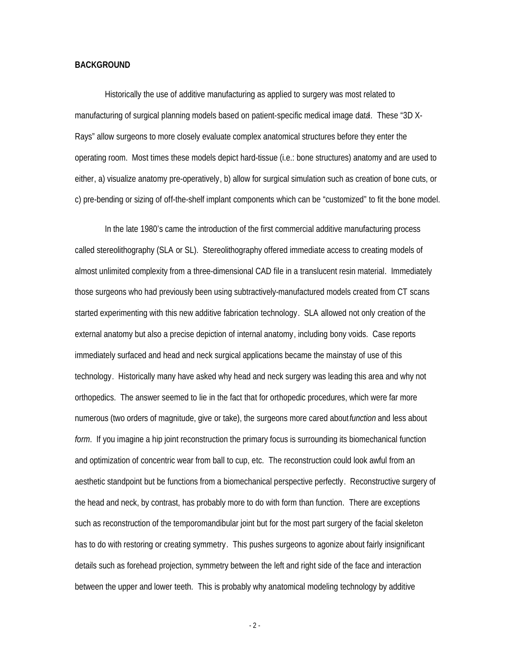#### **BACKGROUND**

Historically the use of additive manufacturing as applied to surgery was most related to manufacturing of surgical planning models based on patient-specific medical image data. These "3D X-Rays" allow surgeons to more closely evaluate complex anatomical structures before they enter the operating room. Most times these models depict hard-tissue (i.e.: bone structures) anatomy and are used to either, a) visualize anatomy pre-operatively, b) allow for surgical simulation such as creation of bone cuts, or c) pre-bending or sizing of off-the-shelf implant components which can be "customized" to fit the bone model.

In the late 1980's came the introduction of the first commercial additive manufacturing process called stereolithography (SLA or SL). Stereolithography offered immediate access to creating models of almost unlimited complexity from a three-dimensional CAD file in a translucent resin material. Immediately those surgeons who had previously been using subtractively-manufactured models created from CT scans started experimenting with this new additive fabrication technology. SLA allowed not only creation of the external anatomy but also a precise depiction of internal anatomy, including bony voids. Case reports immediately surfaced and head and neck surgical applications became the mainstay of use of this technology. Historically many have asked why head and neck surgery was leading this area and why not orthopedics. The answer seemed to lie in the fact that for orthopedic procedures, which were far more numerous (two orders of magnitude, give or take), the surgeons more cared about *function* and less about *form*. If you imagine a hip joint reconstruction the primary focus is surrounding its biomechanical function and optimization of concentric wear from ball to cup, etc. The reconstruction could look awful from an aesthetic standpoint but be functions from a biomechanical perspective perfectly. Reconstructive surgery of the head and neck, by contrast, has probably more to do with form than function. There are exceptions such as reconstruction of the temporomandibular joint but for the most part surgery of the facial skeleton has to do with restoring or creating symmetry. This pushes surgeons to agonize about fairly insignificant details such as forehead projection, symmetry between the left and right side of the face and interaction between the upper and lower teeth. This is probably why anatomical modeling technology by additive

 $-2 -$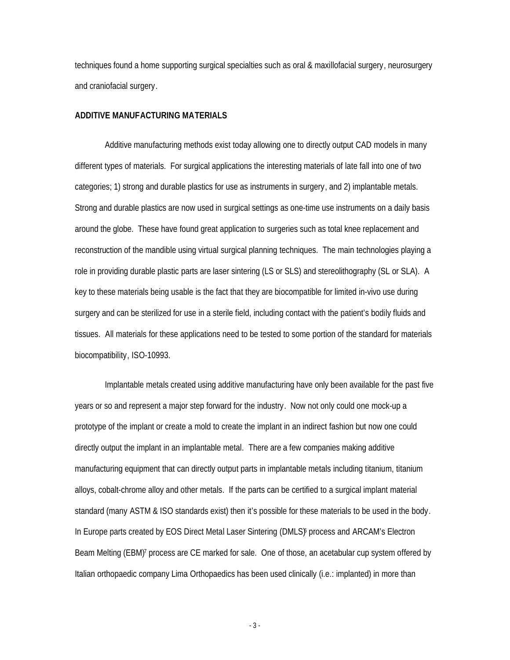techniques found a home supporting surgical specialties such as oral & maxillofacial surgery, neurosurgery and craniofacial surgery.

#### **ADDITIVE MANUFACTURING MATERIALS**

Additive manufacturing methods exist today allowing one to directly output CAD models in many different types of materials. For surgical applications the interesting materials of late fall into one of two categories; 1) strong and durable plastics for use as instruments in surgery, and 2) implantable metals. Strong and durable plastics are now used in surgical settings as one-time use instruments on a daily basis around the globe. These have found great application to surgeries such as total knee replacement and reconstruction of the mandible using virtual surgical planning techniques. The main technologies playing a role in providing durable plastic parts are laser sintering (LS or SLS) and stereolithography (SL or SLA). A key to these materials being usable is the fact that they are biocompatible for limited in-vivo use during surgery and can be sterilized for use in a sterile field, including contact with the patient's bodily fluids and tissues. All materials for these applications need to be tested to some portion of the standard for materials biocompatibility, ISO-10993.

Implantable metals created using additive manufacturing have only been available for the past five years or so and represent a major step forward for the industry. Now not only could one mock-up a prototype of the implant or create a mold to create the implant in an indirect fashion but now one could directly output the implant in an implantable metal. There are a few companies making additive manufacturing equipment that can directly output parts in implantable metals including titanium, titanium alloys, cobalt-chrome alloy and other metals. If the parts can be certified to a surgical implant material standard (many ASTM & ISO standards exist) then it's possible for these materials to be used in the body. In Europe parts created by EOS Direct Metal Laser Sintering (DMLS) process and ARCAM's Electron Beam Melting (EBM)<sup>7</sup> process are CE marked for sale. One of those, an acetabular cup system offered by Italian orthopaedic company Lima Orthopaedics has been used clinically (i.e.: implanted) in more than

- 3 -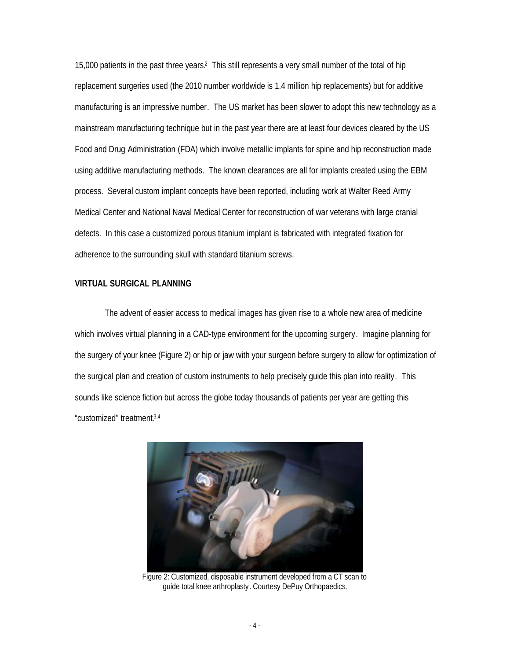15,000 patients in the past three years.<sup>2</sup> This still represents a very small number of the total of hip replacement surgeries used (the 2010 number worldwide is 1.4 million hip replacements) but for additive manufacturing is an impressive number. The US market has been slower to adopt this new technology as a mainstream manufacturing technique but in the past year there are at least four devices cleared by the US Food and Drug Administration (FDA) which involve metallic implants for spine and hip reconstruction made using additive manufacturing methods. The known clearances are all for implants created using the EBM process. Several custom implant concepts have been reported, including work at Walter Reed Army Medical Center and National Naval Medical Center for reconstruction of war veterans with large cranial defects. In this case a customized porous titanium implant is fabricated with integrated fixation for adherence to the surrounding skull with standard titanium screws.

#### **VIRTUAL SURGICAL PLANNING**

The advent of easier access to medical images has given rise to a whole new area of medicine which involves virtual planning in a CAD-type environment for the upcoming surgery. Imagine planning for the surgery of your knee (Figure 2) or hip or jaw with your surgeon before surgery to allow for optimization of the surgical plan and creation of custom instruments to help precisely guide this plan into reality. This sounds like science fiction but across the globe today thousands of patients per year are getting this "customized" treatment.3,4



Figure 2: Customized, disposable instrument developed from a CT scan to guide total knee arthroplasty. Courtesy DePuy Orthopaedics.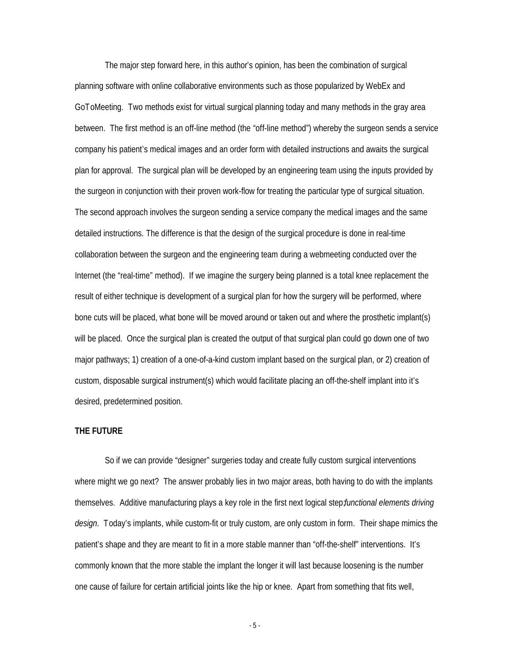The major step forward here, in this author's opinion, has been the combination of surgical planning software with online collaborative environments such as those popularized by WebEx and GoToMeeting. Two methods exist for virtual surgical planning today and many methods in the gray area between. The first method is an off-line method (the "off-line method") whereby the surgeon sends a service company his patient's medical images and an order form with detailed instructions and awaits the surgical plan for approval. The surgical plan will be developed by an engineering team using the inputs provided by the surgeon in conjunction with their proven work-flow for treating the particular type of surgical situation. The second approach involves the surgeon sending a service company the medical images and the same detailed instructions. The difference is that the design of the surgical procedure is done in real-time collaboration between the surgeon and the engineering team during a webmeeting conducted over the Internet (the "real-time" method). If we imagine the surgery being planned is a total knee replacement the result of either technique is development of a surgical plan for how the surgery will be performed, where bone cuts will be placed, what bone will be moved around or taken out and where the prosthetic implant(s) will be placed. Once the surgical plan is created the output of that surgical plan could go down one of two major pathways; 1) creation of a one-of-a-kind custom implant based on the surgical plan, or 2) creation of custom, disposable surgical instrument(s) which would facilitate placing an off-the-shelf implant into it's desired, predetermined position.

### **THE FUTURE**

So if we can provide "designer" surgeries today and create fully custom surgical interventions where might we go next? The answer probably lies in two major areas, both having to do with the implants themselves. Additive manufacturing plays a key role in the first next logical step; *functional elements driving design*. Today's implants, while custom-fit or truly custom, are only custom in form. Their shape mimics the patient's shape and they are meant to fit in a more stable manner than "off-the-shelf" interventions. It's commonly known that the more stable the implant the longer it will last because loosening is the number one cause of failure for certain artificial joints like the hip or knee. Apart from something that fits well,

- 5 -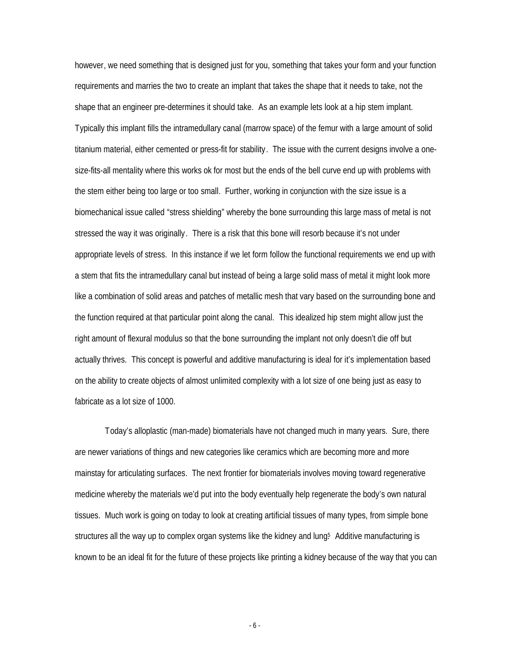however, we need something that is designed just for you, something that takes your form and your function requirements and marries the two to create an implant that takes the shape that it needs to take, not the shape that an engineer pre-determines it should take. As an example lets look at a hip stem implant. Typically this implant fills the intramedullary canal (marrow space) of the femur with a large amount of solid titanium material, either cemented or press-fit for stability. The issue with the current designs involve a onesize-fits-all mentality where this works ok for most but the ends of the bell curve end up with problems with the stem either being too large or too small. Further, working in conjunction with the size issue is a biomechanical issue called "stress shielding" whereby the bone surrounding this large mass of metal is not stressed the way it was originally. There is a risk that this bone will resorb because it's not under appropriate levels of stress. In this instance if we let form follow the functional requirements we end up with a stem that fits the intramedullary canal but instead of being a large solid mass of metal it might look more like a combination of solid areas and patches of metallic mesh that vary based on the surrounding bone and the function required at that particular point along the canal. This idealized hip stem might allow just the right amount of flexural modulus so that the bone surrounding the implant not only doesn't die off but actually thrives. This concept is powerful and additive manufacturing is ideal for it's implementation based on the ability to create objects of almost unlimited complexity with a lot size of one being just as easy to fabricate as a lot size of 1000.

Today's alloplastic (man-made) biomaterials have not changed much in many years. Sure, there are newer variations of things and new categories like ceramics which are becoming more and more mainstay for articulating surfaces. The next frontier for biomaterials involves moving toward regenerative medicine whereby the materials we'd put into the body eventually help regenerate the body's own natural tissues. Much work is going on today to look at creating artificial tissues of many types, from simple bone structures all the way up to complex organ systems like the kidney and lung.<sup>5</sup> Additive manufacturing is known to be an ideal fit for the future of these projects like printing a kidney because of the way that you can

- 6 -